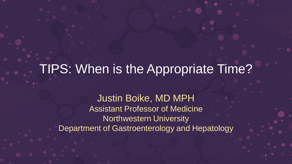### TIPS: When is the Appropriate Time?

Justin Boike, MD MPH Assistant Professor of Medicine Northwestern University Department of Gastroenterology and Hepatology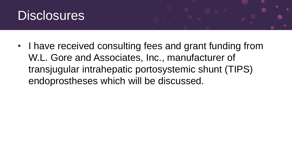

• I have received consulting fees and grant funding from W.L. Gore and Associates, Inc., manufacturer of transjugular intrahepatic portosystemic shunt (TIPS) endoprostheses which will be discussed.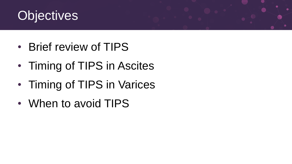## **Objectives**

- Brief review of TIPS
- Timing of TIPS in Ascites
- Timing of TIPS in Varices
- When to avoid TIPS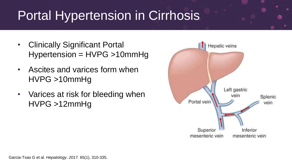# Portal Hypertension in Cirrhosis

- Clinically Significant Portal Hypertension = HVPG >10mmHg
- Ascites and varices form when HVPG >10mmHg
- Varices at risk for bleeding when HVPG >12mmHg

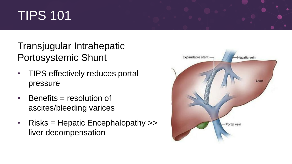# TIPS 101

Transjugular Intrahepatic Portosystemic Shunt

- TIPS effectively reduces portal pressure
- Benefits = resolution of ascites/bleeding varices
- Risks = Hepatic Encephalopathy >> liver decompensation

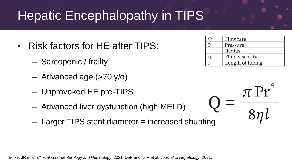## Hepatic Encephalopathy in TIPS

- Risk factors for HE after TIPS:
	- Sarcopenic / frailty
	- Advanced age (>70 y/o)
	- Unprovoked HE pre-TIPS
	- Advanced liver dysfunction (high MELD)
	- $-$  Larger TIPS stent diameter  $=$  increased shunting

|  | Flow rate        |
|--|------------------|
|  | Pressure         |
|  | Radius           |
|  | Fluid viscosity  |
|  | Length of tubing |

 $\pi$  Pr

Boike, JR et al. *Clinical Gastroenterology and Hepatology.* 2021*;* DeFranchis R et al. *Journal of Hepatology.* 2021.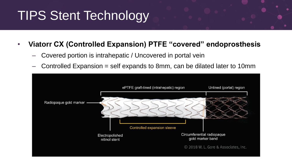# TIPS Stent Technology

- **Viatorr CX (Controlled Expansion) PTFE "covered" endoprosthesis**
	- Covered portion is intrahepatic / Uncovered in portal vein
	- Controlled Expansion = self expands to 8mm, can be dilated later to 10mm

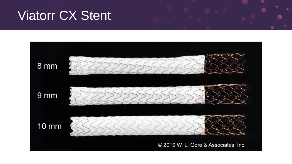### **Viatorr CX Stent**

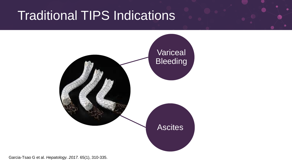## Traditional TIPS Indications



Garcia‐Tsao G et al. *Hepatology. 2017.* 65(1), 310-335.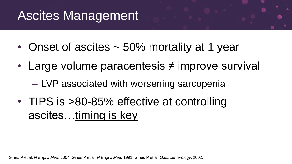### Ascites Management

- Onset of ascites ~ 50% mortality at 1 year
- Large volume paracentesis ≠ improve survival
	- LVP associated with worsening sarcopenia
- TIPS is >80-85% effective at controlling ascites…timing is key

Gines P et al. *N Engl J Med*. 2004; Gines P et al*. N Engl J Med*. 1991; Gines P et al. *Gastroenterology*. 2002.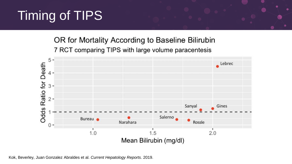# Timing of TIPS

OR for Mortality According to Baseline Bilirubin 7 RCT comparing TIPS with large volume paracentesis



Kok, Beverley, Juan Gonzalez Abraldes et al. *Current Hepatology Reports.* 2019.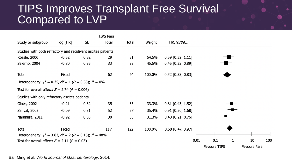### TIPS Improves Transplant Free Survival Compared to LVP



Bai, Ming et al. *World Journal of Gastroenterology.* 2014.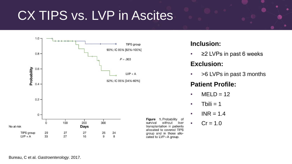## CX TIPS vs. LVP in Ascites



#### **Inclusion:**

•  $\geq$  2 LVPs in past 6 weeks

#### **Exclusion:**

• >  $\rightarrow$  5 LVPs in past 3 months

#### **Patient Profile:**

- $\cdot$  MELD = 12
- $\bullet$  Tbili = 1

Figure 1. Probability of

transplantation in patients

allocated to covered TIPS

group and in those allo-

cated to LVP+A group.

without

liver

survival

- $\cdot$  INR = 1.4
- $Cr = 1.0$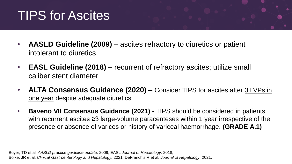## TIPS for Ascites

- **AASLD Guideline (2009)**  ascites refractory to diuretics or patient intolerant to diuretics
- **EASL Guideline (2018)**  recurrent of refractory ascites; utilize small caliber stent diameter
- **ALTA Consensus Guidance (2020) –** Consider TIPS for ascites after 3 LVPs in one year despite adequate diuretics
- **Baveno VII Consensus Guidance (2021)**  TIPS should be considered in patients with recurrent ascites ≥3 large-volume paracenteses within 1 year irrespective of the presence or absence of varices or history of variceal haemorrhage. **(GRADE A.1)**

Boyer, TD et al. *AASLD practice guideline update*. 2009; EASL *Journal of Hepatology.* 2018; Boike, JR et al. *Clinical Gastroenterology and Hepatology.* 2021*;* DeFranchis R et al. *Journal of Hepatology.* 2021.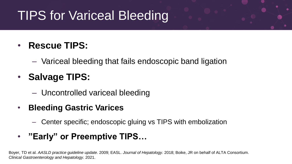# TIPS for Variceal Bleeding

- **Rescue TIPS:**
	- Variceal bleeding that fails endoscopic band ligation
- **Salvage TIPS:** 
	- Uncontrolled variceal bleeding
- **Bleeding Gastric Varices**
	- Center specific; endoscopic gluing vs TIPS with embolization
- **"Early" or Preemptive TIPS…**

Boyer, TD et al. *AASLD practice guideline update*. 2009; EASL. *Journal of Hepatology.* 2018; Boike, JR on behalf of ALTA Consortium. *Clinical Gastroenterology and Hepatology.* 2021.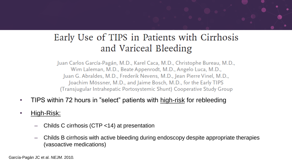### Early Use of TIPS in Patients with Cirrhosis and Variceal Bleeding

Juan Carlos García-Pagán, M.D., Karel Caca, M.D., Christophe Bureau, M.D., Wim Laleman, M.D., Beate Appenrodt, M.D., Angelo Luca, M.D., Juan G. Abraldes, M.D., Frederik Nevens, M.D., Jean Pierre Vinel, M.D., Joachim Mössner, M.D., and Jaime Bosch, M.D., for the Early TIPS (Transjugular Intrahepatic Portosystemic Shunt) Cooperative Study Group

- TIPS within 72 hours in "select" patients with high-risk for rebleeding
- High-Risk:
	- Childs C cirrhosis (CTP <14) at presentation
	- Childs B cirrhosis with active bleeding during endoscopy despite appropriate therapies (vasoactive medications)

García-Pagán JC et al. *NEJM.* 2010*.*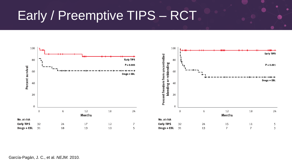## Early / Preemptive TIPS – RCT

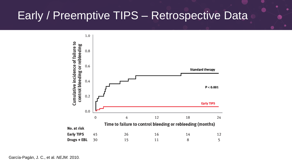### Early / Preemptive TIPS – Retrospective Data



García-Pagán, J. C., et al. *NEJM.* 2010*.*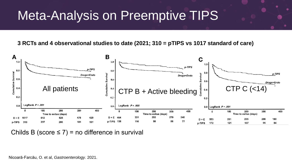### Meta-Analysis on Preemptive TIPS

**3 RCTs and 4 observational studies to date (2021; 310 = pTIPS vs 1017 standard of care)**



Childs B (score  $\leq 7$ ) = no difference in survival

Nicoară-Farcău, O. et al, *Gastroenterology.* 2021.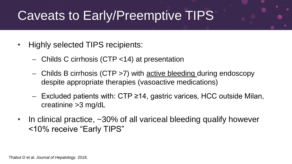## Caveats to Early/Preemptive TIPS

- Highly selected TIPS recipients:
	- Childs C cirrhosis (CTP <14) at presentation
	- Childs B cirrhosis (CTP >7) with active bleeding during endoscopy despite appropriate therapies (vasoactive medications)
	- Excluded patients with: CTP ≥14, gastric varices, HCC outside Milan, creatinine >3 mg/dL
- In clinical practice, ~30% of all variceal bleeding qualify however <10% receive "Early TIPS"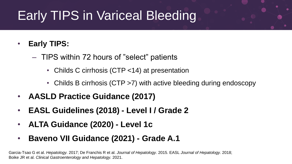# Early TIPS in Variceal Bleeding

### • **Early TIPS:**

- TIPS within 72 hours of "select" patients
	- Childs C cirrhosis (CTP <14) at presentation
	- Childs B cirrhosis (CTP > 7) with active bleeding during endoscopy
- **AASLD Practice Guidance (2017)**
- **EASL Guidelines (2018) - Level I / Grade 2**
- **ALTA Guidance (2020) - Level 1c**
- **Baveno VII Guidance (2021) - Grade A.1**

Garcia‐Tsao G et al. *Hepatology.* 2017; De Franchis R et al. *Journal of Hepatology.* 2015. EASL *Journal of Hepatology.* 2018; Boike JR et al. *Clinical Gastroenterology and Hepatology.* 2021.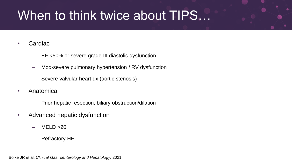## When to think twice about TIPS…

#### • Cardiac

- EF <50% or severe grade III diastolic dysfunction
- Mod-severe pulmonary hypertension / RV dysfunction
- Severe valvular heart dx (aortic stenosis)
- Anatomical
	- Prior hepatic resection, biliary obstruction/dilation
- Advanced hepatic dysfunction
	- MFLD  $>20$
	- Refractory HE

Boike JR et al. *Clinical Gastroenterology and Hepatology.* 2021.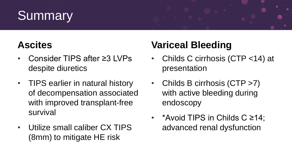# **Summary**

### **Ascites**

- Consider TIPS after ≥3 LVPs despite diuretics
- TIPS earlier in natural history of decompensation associated with improved transplant-free survival
- Utilize small caliber CX TIPS (8mm) to mitigate HE risk

### **Variceal Bleeding**

- Childs C cirrhosis (CTP <14) at presentation
- Childs B cirrhosis (CTP >7) with active bleeding during endoscopy
- \*Avoid TIPS in Childs C ≥14; advanced renal dysfunction